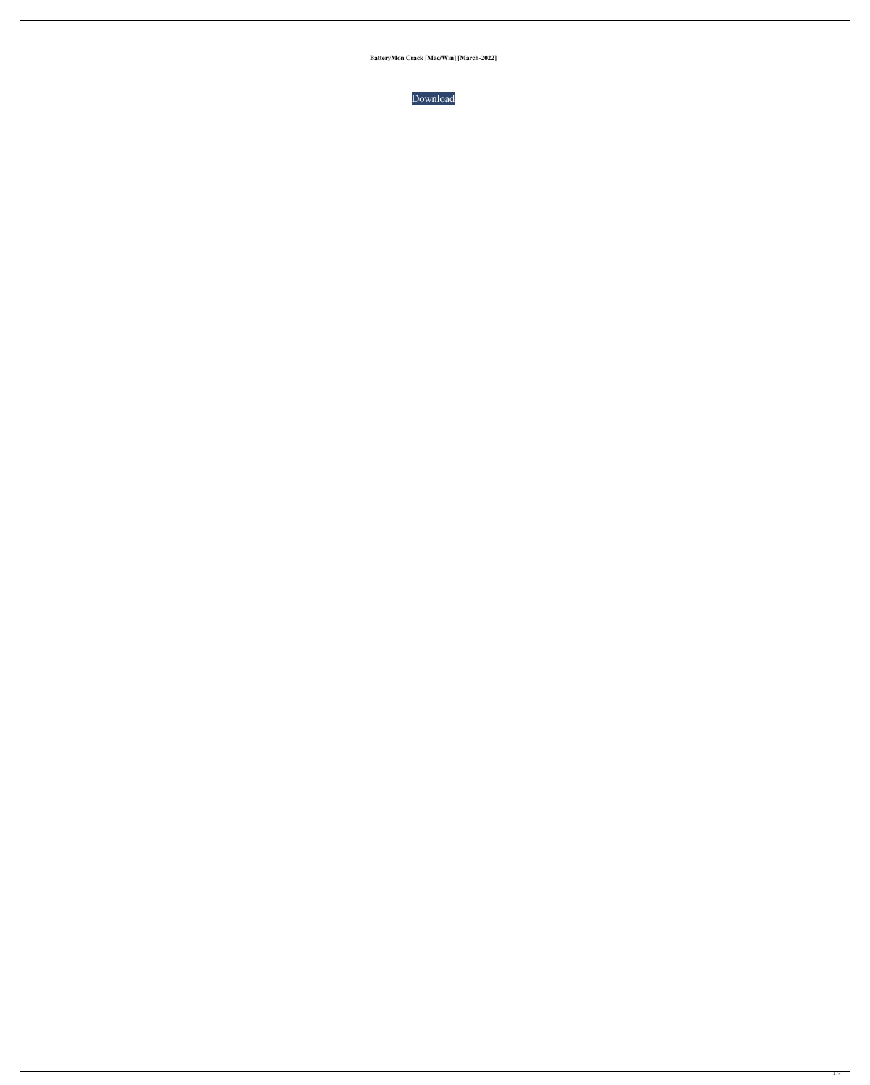**BatteryMon Crack [Mac/Win] [March-2022]**

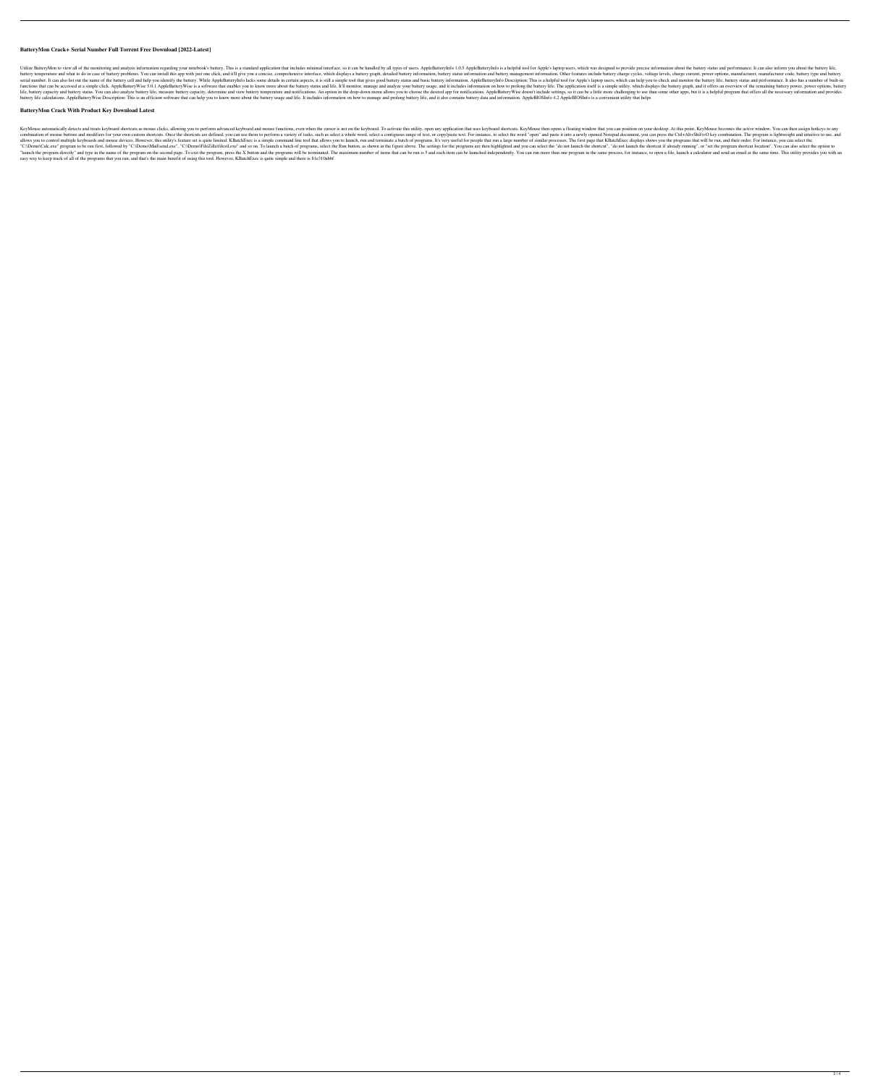## **BatteryMon Crack+ Serial Number Full Torrent Free Download [2022-Latest]**

Utilize BatteryMon to view all of the monitoring and analysis information regarding your notebook's battery. This is a standard application that includes minimal interface, so it can be handled by all types of users. Apple battery temperature and what to do in case of battery problems. You can install this app with just one click, and it'll give you a concise, comprehensive interface, which displays a battery graph, detailed battery charge i serial number. It can also list out the name of the battery cell and help you identify the battery. While AppleBatteryInfo lacks some details in certain aspects, it is still a simple tool that gives good battery status and Increased at a simple click. AppleBattery Wise 5.0.1 AppleBattery Wise is a software that enables you to know more about the battery status and life. It'll monitor, manage and analyze your battery life. The application its life, battery capacity and battery status. You can also analyze battery life, measure battery life, measure battery capacity, determine and view battery temperature and notifications. An option in the drop-down menu allows battery life calculations. AppleBattery Wise Description: This is an efficient software that can help you to know more about the battery usage and life. It includes information on how to manage and prolong battery life, an

KeyMouse automatically detects and treats keyboard shortcuts as mouse clicks, allowing you to perform advanced keyboard and mouse functions, even when the cursor is not on the keyboard. To activate this utility, open any a combination of mouse buttoms and modifiers for your own custom shortcuts. Once the shortcuts are defined, you can use them to perform a variety of tasks, such as select a contiguous range of text. For instance, to select a allows you to control multiple keyboards and mouse devices. However, this utility's feature set is quite limited. KBatchExec is a simple command line tool that allows you to launch, run and terminate a batch of programs. I "C:\Demo\Calc.exe" program to be run first, followed by "C:\Demo\Mail\send.exe", "C:\Demo\Mail\send.exe", "C:\Demo\FileZilla\filezil.exe" and so on. To launch a batch of programs, select the Run button, as shown in the fig "launch the program directly" and type in the name of the program on the second page. To exit the program, press the X button and the programs will be terminated. The maximum number of items that can be run is 5 and each i easy way to keep track of all of the programs that you run, and that's the main benefit of using this tool. However, KBatchExec is quite simple and there is 81e310abbf

#### **BatteryMon Crack With Product Key Download Latest**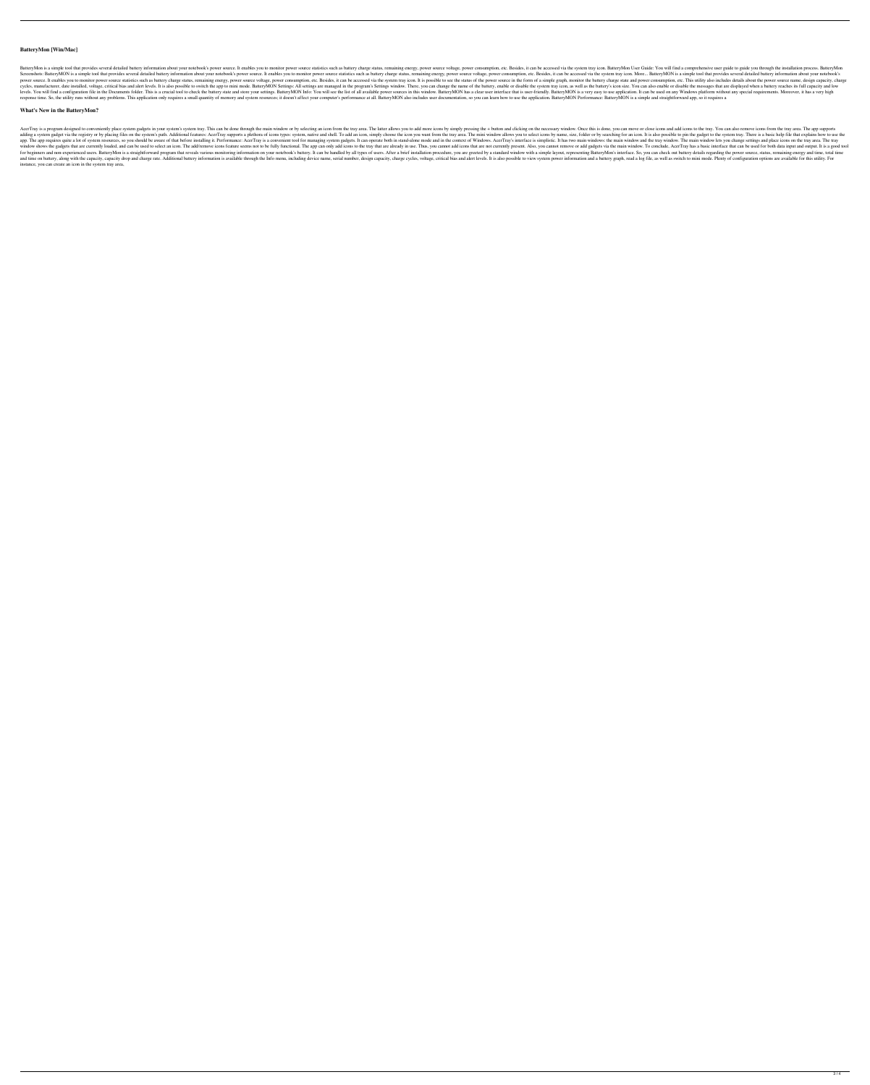## **BatteryMon [Win/Mac]**

BatteryMon is a simple tool that provides several detailed battery information about your notebook's power source. It enables you to monitor power source statistics such as battery charge status, remaining energy, power co Screenshots: BatteryMON is a simple tool that provides several detailed battery information about your notebook's power source. It enables you to monitor power source statistics such as battery charge status, remaining ene power source. It enables you to monitor power source statistics such as battery charge status, remaining energy, power source voltage, power consumption, etc. Besides, it can be accessed via the system tray icon. It is pos cycles, manufacturer, date installed, voltage, critical bias and alert levels. It is also possible to switch the app to mini mode. BatteryMON Settings: All settings are managed in the program's Settings window. There, you levels. You will find a configuration file in the Documents folder. This is a crucial tool to check the battery state and store your settings. BatteryMON Info: You will see the list of all available power sources in this w response time. So, the utility runs without any problems. This application only requires a small quantity of memory and system resources; it doesn't affect your computer's performance at all. BatteryMON also includes user

#### **What's New in the BatteryMon?**

AcerTray is a program designed to conveniently place system gadgets in your system's system tray. This can be done through the main window or by selecting an icon from the tray area. The latter allows you to add more icons adding a system gadget via the registry or by placing files on the system's path. Additional features: AcerTray supports a plethora of icons types: system, native and shell. To add an icon, simply choose the icon you want app. The app requires quite a lot of system resources, so you should be aware of that before installing it. Performance: AcerTray is a convenient tool for managing system gadgets. It can operate both in stand-alone mode an window shows the gadgets that are currently loaded, and can be used to select an icon. The add/remove icons feature seems not to be fully functional. The app can only add icons to the tray that are already in use. Thus, yo for beginners and non-experienced users. BatteryMon is a straightforward program that reveals various monitoring information on your notebook's battery. It can be handled by all types of users. After a brief installation p and time on battery, along with the capacity, capacity drop and charge rate. Additional battery information is available through the Info menu, including device name, serial number, design capacity, charge cycles, voltage, instance, you can create an icon in the system tray area,